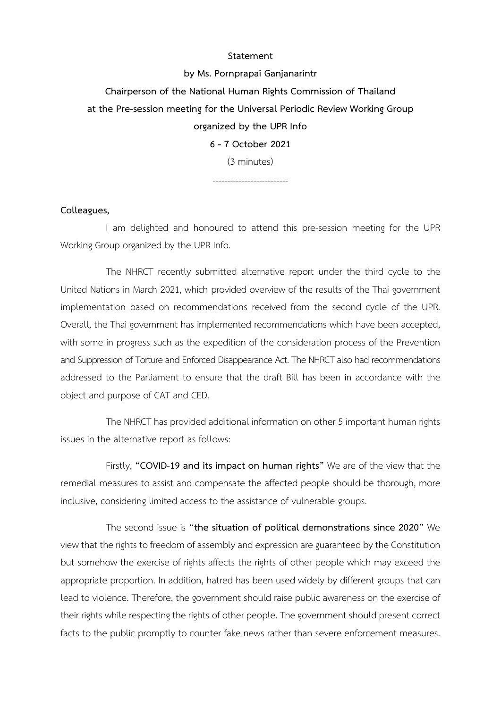## **Statement**

**by Ms. Pornprapai Ganjanarintr Chairperson of the National Human Rights Commission of Thailand at the Pre-session meeting for the Universal Periodic Review Working Group organized by the UPR Info 6 - 7 October 2021** (3 minutes)

--------------------------

## **Colleagues,**

I am delighted and honoured to attend this pre-session meeting for the UPR Working Group organized by the UPR Info.

The NHRCT recently submitted alternative report under the third cycle to the United Nations in March 2021, which provided overview of the results of the Thai government implementation based on recommendations received from the second cycle of the UPR. Overall, the Thai government has implemented recommendations which have been accepted, with some in progress such as the expedition of the consideration process of the Prevention and Suppression of Torture and Enforced Disappearance Act.The NHRCT also had recommendations addressed to the Parliament to ensure that the draft Bill has been in accordance with the object and purpose of CAT and CED.

The NHRCT has provided additional information on other 5 important human rights issues in the alternative report as follows:

Firstly, **"COVID-19 and its impact on human rights"** We are of the view that the remedial measures to assist and compensate the affected people should be thorough, more inclusive, considering limited access to the assistance of vulnerable groups.

The second issue is **"the situation of political demonstrations since 2020"** We view that the rights to freedom of assembly and expression are guaranteed by the Constitution but somehow the exercise of rights affects the rights of other people which may exceed the appropriate proportion. In addition, hatred has been used widely by different groups that can lead to violence. Therefore, the government should raise public awareness on the exercise of their rights while respecting the rights of other people. The government should present correct facts to the public promptly to counter fake news rather than severe enforcement measures.